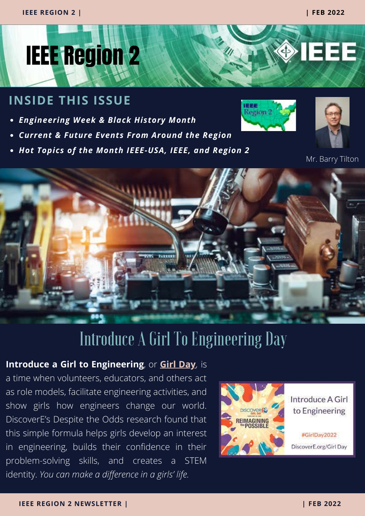◈IEEE



#### **INSIDE THIS ISSUE**

- *Engineering Week & Black History Month*
- *Current & Future Events From Around the Region*
- *Hot Topics of the Month IEEE-USA, IEEE, and Region 2*





Mr. Barry Tilton



## Introduce A Girl To Engineering Day

#### **Introduce a Girl to Engineering**, or **[Girl Day](https://discovere.org/engage/girl-day/)**, is

a time when volunteers, educators, and others act as role models, facilitate engineering activities, and show girls how engineers change our world. DiscoverE's Despite the Odds research found that this simple formula helps girls develop an interest in engineering, builds their confidence in their problem-solving skills, and creates a STEM identity. *You can make a difference in a girls' life.*



Introduce A Girl to Engineering

#GirlDay2022 DiscoverE.org/Girl Day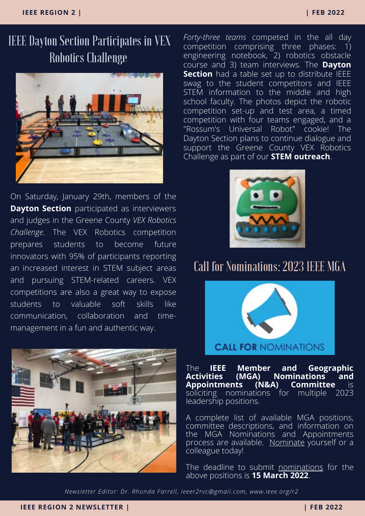## IEEE Dayton Section Participates in VEX Robotics Challenge



On Saturday, January 29th, members of the **Dayton Section** participated as interviewers and judges in the Greene County *VEX Robotics Challenge*. The VEX Robotics competition prepares students to become future innovators with 95% of participants reporting an increased interest in STEM subject areas and pursuing STEM-related careers. VEX competitions are also a great way to expose students to valuable soft skills like communication, collaboration and timemanagement in a fun and authentic way.



*[Forty-three teams](https://events.vtools.ieee.org/m/298009)* competed in the all day [competition comprising three phases: 1\)](https://events.vtools.ieee.org/m/298009) engineering notebook, 2) robotics obstacle course and 3) team interviews. The **Dayton Section** [had a table set up to distribute IEEE](https://events.vtools.ieee.org/m/298009) swag to the student competitors and IEEE STEM information to the middle and high school faculty. The photos depict the robotic [competition set-up and test area, a timed](https://events.vtools.ieee.org/m/298009) competition with four teams engaged, and a "Rossum's Universal Robot" cookie! The Dayton Section plans to continue dialogue and support the Greene County VEX Robotics Challenge as part of our **[STEM outreach](https://events.vtools.ieee.org/m/298009)**[.](https://events.vtools.ieee.org/m/298009)



#### Call for Nominations: 2023 IEEE MGA



[The](https://events.vtools.ieee.org/m/298009) **IEEE Member and Geographic A) Nominations and<br><u>(N&A) Comm</u>ittee** is **Appointments (N&A) Committee** is soliciting nominations leadership positions.

A [complete list of available MGA positions,](https://mga.ieee.org/board-committees/available-mga-positions) [committee descriptions,](https://mga.ieee.org/board-committees/committees) and information on the MGA Nominations and Appointments [process are available. Nominate yourself or a](https://mga.ieee.org/board-committees/nominations-appointments) colleague today!

The deadline to submit [nominations](https://ieee.secure-platform.com/a/solicitations/604/home) for the above positions is **15 March 2022**.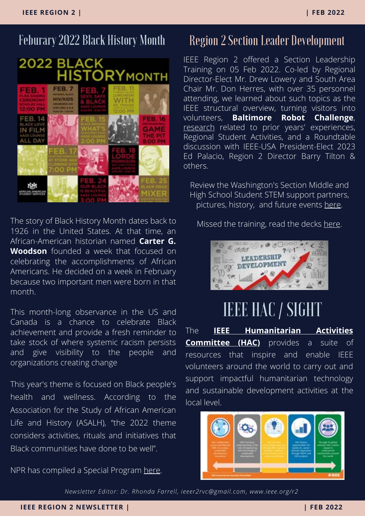## Feburary 2022 Black History Month



The story of Black History Month dates back to 1926 in the United States. At that time, an African-American historian named **Carter G. Woodson** founded a week that focused on celebrating the accomplishments of African Americans. He decided on a week in February because two important men were born in that month.

This month-long observance in the US and Canada is a chance to celebrate Black achievement and provide a fresh reminder to take stock of where systemic racism persists and give visibility to the people and organizations creating change

This year's theme is focused on Black people's health and wellness. According to the Association for the Study of African American Life and History (ASALH), "the 2022 theme considers activities, rituals and initiatives that Black communities have done to be well".

NPR has compiled a Special Program [here.](https://www.npr.org/series/1075788889/black-history-month)

#### Region 2 Section Leader Development

IEEE Region 2 offered a Section Leadership Training on 05 Feb 2022. Co-led by Regional Director-Elect Mr. Drew Lowery and South Area Chair Mr. Don Herres, with over 35 personnel attending, we learned about such topics as the IEEE structural overview, turning visitors into volunteers, **Baltimore Robot Challenge**, [research](https://docs.google.com/document/d/1BOKBRPijWTRVH-Yfb_l3clXSSB7TjjFs/edit?usp=sharing&ouid=104775984883698792934&rtpof=true&sd=true) related to prior years' experiences, Regional Student Activities, and a Roundtable discussion with IEEE-USA President-Elect 2023 Ed Palacio, Region 2 Director Barry Tilton & others.

Review the Washington's Section Middle and High School Student STEM support partners, pictures, history, and future events [here](https://drive.google.com/file/d/1S-3Fq36JBu_DNIdCW5jPys8PoJlgMpUc/view?usp=sharing).

Missed the training, read the decks [here](https://docs.google.com/document/d/1BOKBRPijWTRVH-Yfb_l3clXSSB7TjjFs/edit?usp=sharing&ouid=104775984883698792934&rtpof=true&sd=true).



# IEEE HAC / SIGHT

[The](https://events.vtools.ieee.org/m/298009) **[IEEE Humanitarian Activities](https://hac.ieee.org/) Committee (HAC)** provides a suite of [resources that inspire and enable IEEE](https://events.vtools.ieee.org/m/298009) volunteers around the world to carry out and support impactful humanitarian technology and sustainable development activities at the local level.

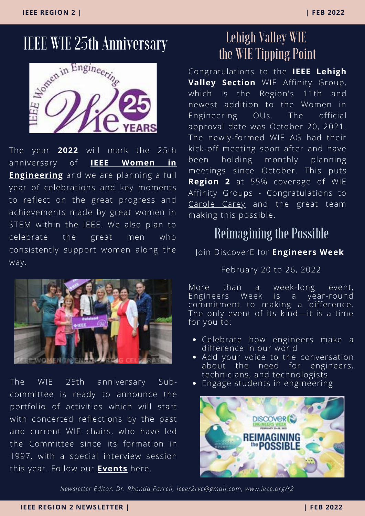

The year **2022** will mark the 25th anniversary of **IEEE Women in Engineering** [and we are planning a full](https://www.ieee.org/membership/women/index.html) year of celebrations and key moments to reflect on the great progress and achievements made by great women in STEM within the IEEE. We also plan to celebrate the great men who consistently support women along the way.



The WIE 25th anniversary Subcommittee is ready to announce the portfolio of activities which will start with concerted reflections by the past and current WIE chairs, who have led the Committee since its formation in 1997, with a special interview session this year. Follow our **[Events](https://wie.ieee.org/wieat25/)** here.

## Lehigh Valley WIE the WIE Tipping Point

Congratulations to the **IEEE Lehigh Valley Section** WIE Affinity Group, which is the Region's 11th and newest addition to the Women in Engineering OUs. The official approval date was October 20, 2021. The newly-formed WIE AG had their kick-off meeting soon after and have been holding monthly planning meetings since October. This puts **Region 2** at 55% coverage of WIE Affinity Groups - Congratulations to [Carole Carey](https://r2.ieee.org/about/officers-and-committee/) and the great team making this possible.

#### Reimagining the Possible

#### Join DiscoverE for **Engineers Week**

February 20 to 26, 2022

More than a week-long event, Engineers Week is a year-round commitment to making a difference. The only event of its kind—it is a time for you to:

- Celebrate how engineers make a difference in our world
- Add your voice to the conversation about the need for engineers, technicians, and technologists
- Engage students in engineering

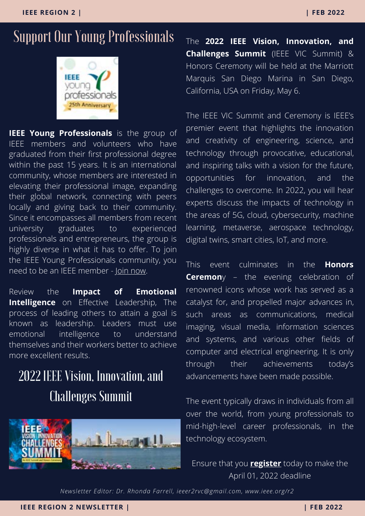## Support Our Young Professionals



**[IEEE Young Professionals](https://events.vtools.ieee.org/m/298009)** is the group of IEEE members and volunteers who have graduated from their first professional degree within the past 15 years. It is an international community, whose members are interested in elevating their professional image, expanding their global network, connecting with peers locally and giving back to their community. Since it encompasses all members from recent university graduates to experienced professionals and entrepreneurs, the group is [highly diverse in what it has to offer. To join](https://events.vtools.ieee.org/m/298009) [the IEEE Young Professionals community,](https://events.vtools.ieee.org/m/298009) [y](https://events.vtools.ieee.org/m/298009)ou need to be an IEEE member - [Join now](https://www.ieee.org/membership/join/index.html)[.](https://events.vtools.ieee.org/m/298009)

Review t[he](https://yp.ieee.org/impact-of-emotional-intelligence-on-effective-leadership/) **Impact of Emotional Intelligence** [on Effective Leadership, The](https://yp.ieee.org/impact-of-emotional-intelligence-on-effective-leadership/) process of leading others to attain a goal is known as leadership. Leaders must use emotional intelligence to understand themselves and their workers better to achieve more excellent results.

## 2022 IEEE Vision, Innovation, and Challenges Summit



The **2022 IEEE Vision, Innovation, and Challenges Summit** (IEEE VIC Summit) & Honors Ceremony will be held at the Marriott Marquis San Diego Marina in San Diego, California, USA on Friday, May 6.

The IEEE VIC Summit and Ceremony is IEEE's premier event that highlights the innovation and creativity of engineering, science, and technology through provocative, educational, and inspiring talks with a vision for the future, opportunities for innovation, and the challenges to overcome. In 2022, you will hear experts discuss the impacts of technology in the areas of 5G, cloud, cybersecurity, machine learning, metaverse, aerospace technology, digital twins, smart cities, IoT, and more.

This event culminates in the **Honors Ceremon**y – the evening celebration of [renowned icons whose work has served as a](https://corporate-awards.ieee.org/recipients/current-recipients/) catalyst for, and propelled major advances in, such areas as communications, medical imaging, visual media, information sciences and systems, and various other fields of computer and electrical engineering. It is only through their achievements today's advancements have been made possible.

The event typically draws in individuals from all over the world, from young professionals to mid-high-level career professionals, in the technology ecosystem.

#### Ensure that you **[register](https://web.cvent.com/event/7d8baa97-c597-4995-b513-42310977cb5a/summary?mkt_tok=NzU2LUdQSC04OTkAAAGCfj3nYs3KRoJqbfKRnHuteYaLnU4sviAeGOccI4_WBhJetRVisltYbTznhNl6G6Ueii6GSKdMW6uPRV7WNxm0LImy0SlFRKyHeISQjVQ0wZs)** today to make the April 01, 2022 deadline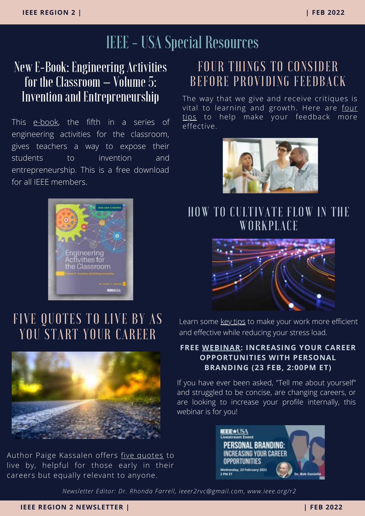## IEEE - USA Special Resources

#### [New E-Book: Engineering Activities](https://insight.ieeeusa.org/articles/gamify-your-goal-setting-to-level-up-your-career/?utm_campaign=R2&utm_medium=email&utm_source=R2_-_Feb_2022&utm_content=gamify) for the Classroom – Volume 5: Invention and Entrepreneurship

This [e-book,](https://ieeeusa.org/product/engineering-activities-for-the-classroom-volume-5/?utm_campaign=R2&utm_medium=email&utm_source=R2_-_Mar_2022&utm_content=engclass5) the fifth in a series of engineering activities for the classroom, gives teachers a way to expose their students to invention and entrepreneurship. This is a free download for all IEEE members.



## [FOUR THINGS TO CO](https://ieeeusa.org/shop/fun/the-tesla-twins-rescue-at-the-speed-of-light/)NSIDER [BEFORE PROVIDING FEEDBACK](https://ieeeusa.org/shop/fun/the-tesla-twins-rescue-at-the-speed-of-light/)

The way that we give and receive critiques is [vital to learning and growth. Here are four](https://insight.ieeeusa.org/articles/four-things-to-consider-before-providing-feedback/?utm_campaign=R2&utm_medium=email&utm_source=R2_-_Mar_2022&utm_content=feedbacktips) tips to help make your feedback more effective.



#### [HOW TO CULTIVATE FLOW IN THE](https://insight.ieeeusa.org/articles/women-in-engineering-their-stories-and-their-paths-complete-series-now-available/?utm_campaign=R2&utm_medium=email&utm_source=R2_-_Feb_2022&utm_content=wieseries) **WORKPLACE**



## [FIVE QUOTES TO LIVE BY AS](https://insight.ieeeusa.org/articles/women-in-engineering-their-stories-and-their-paths-complete-series-now-available/?utm_campaign=R2&utm_medium=email&utm_source=R2_-_Feb_2022&utm_content=wieseries) YOU START YOUR CAREER



Author Paige Kassalen offers [five quotes](https://insight.ieeeusa.org/articles/five-quotes-to-live-by-as-you-start-your-career/?utm_campaign=R2&utm_medium=email&utm_source=R2_-_Mar_2022&utm_content=5quotes) to live by, helpful for those early in their careers but equally relevant to anyone.

Learn some [key tips](https://insight.ieeeusa.org/articles/how-to-cultivate-flow-in-the-workplace/?utm_campaign=R2&utm_medium=email&utm_source=R2_-_Mar_2022&utm_content=workflow) to make your work more efficient and effective while reducing your stress load.

#### **FREE [WEBINAR:](https://events.vtools.ieee.org/m/300811/?utm_campaign=R2&utm_medium=email&utm_source=R2_-_Mar_2022&utm_content=brandingwebinar) INCREASING YOUR CAREER OPPORTUNITIES WITH PERSONAL BRANDING (23 FEB, 2:00PM ET)**

If you have ever been asked, "Tell me about yourself" and struggled to be concise, are changing careers, or are looking to increase your profile internally, this webinar is for you!

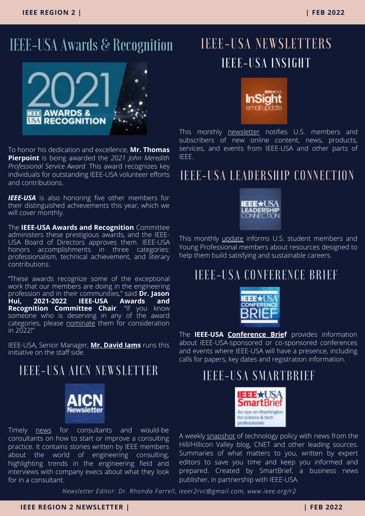## IEEE-USA Awards & Recognition



To honor his dedication and excellence, **Mr. Thomas Pierpoint** is being awarded the *2021 John Meredith Professional Service Award*. This award recognizes key individuals for outstanding IEEE-USA volunteer efforts and contributions.

**IEEE-USA** is also honoring five other members for their distinguished achievements this year, which we will cover monthly.

The **IEEE-USA Awards and Recognition** Committee administers these prestigious awards, and the IEEE-USA Board of Directors approves them. IEEE-USA honors accomplishments in three categories: professionalism, technical achievement, and literary contributions.

"These awards recognize some of the exceptional work that our members are doing in the engineering profession and in their communities," said **Dr. Jason Hui, 2021-2022 IEEE-USA Awards and Recognition Committee Chair**. "If you know someone who is deserving in any of the award [categories, please nominate them for consideration](https://ieeeusa.org/volunteers/awards-recognition/) in 2022!"

IEEE-USA, Senior Manager, **[Mr. David Iam](https://ieeeusa.org/about/staff/)s** runs this initiative on the staff side.

#### [IEEE-USA](https://insight.ieeeusa.org/articles/women-in-engineering-their-stories-and-their-paths-complete-series-now-available/?utm_campaign=R2&utm_medium=email&utm_source=R2_-_Feb_2022&utm_content=wieseries) AICN NEWSLETTER



Timely **news** for consultants and would-be consultants on how to start or improve a consulting practice. It contains stories written by IEEE members about the world of engineering consulting, highlighting trends in the engineering field and interviews with company execs about what they look for in a consultant.

## [IEEE-USA NE](https://ieeeusa.org/shop/fun/the-tesla-twins-rescue-at-the-speed-of-light/)WSLETTERS IEEE-USA INSIGHT



This monthly [newsletter](https://engage.ieee.org/IEEE-USA-InSight-Sign-Up.html) notifies U.S. members and subscribers of new online content, news, products, services, and events from IEEE-USA and other parts of IEEE.

#### [IEEE-USA LEADERSHIP CONNECTION](https://insight.ieeeusa.org/articles/women-in-engineering-their-stories-and-their-paths-complete-series-now-available/?utm_campaign=R2&utm_medium=email&utm_source=R2_-_Feb_2022&utm_content=wieseries)



This monthly *update* informs U.S. student members and Young Professional members about resources designed to help them build satisfying and sustainable careers.

#### [IEEE-USA CONFERENCE BRIEF](https://insight.ieeeusa.org/articles/women-in-engineering-their-stories-and-their-paths-complete-series-now-available/?utm_campaign=R2&utm_medium=email&utm_source=R2_-_Feb_2022&utm_content=wieseries)



The **IEEE-USA [Conference Brief](https://engage.ieee.org/IEEE-USA-Conference-Brief-Sign-Up.html)** provides information about IEEE-USA-sponsored or co-sponsored conferences and events where IEEE-USA will have a presence, including calls for papers, key dates and registration information.

#### [IEEE-USA SMARTBRIEF](https://insight.ieeeusa.org/articles/women-in-engineering-their-stories-and-their-paths-complete-series-now-available/?utm_campaign=R2&utm_medium=email&utm_source=R2_-_Feb_2022&utm_content=wieseries)



A weekly [snapshot](https://www2.smartbrief.com/signupSystem/subscribe.action?pageSequence=1&briefName=ieeeusa) of technology policy with news from the Hill/Hillicon Valley blog, CNET and other leading sources. Summaries of what matters to you, written by expert editors to save you time and keep you informed and prepared. Created by SmartBrief, a business news publisher, in partnership with IEEE-USA.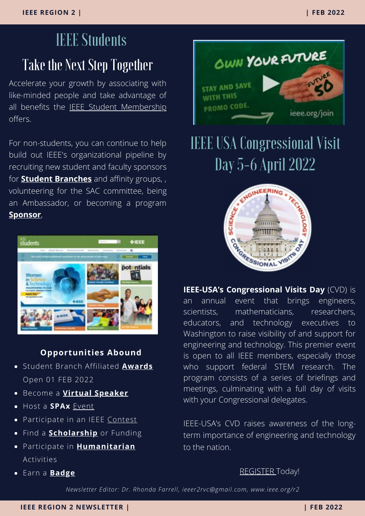# Take the Next Step Together IEEE Students

Accelerate your growth by associating with like-minded people and take advantage of all benefits the **[IEEE Student Membership](https://students.ieee.org/)** offers.

For non-students, you can continue to help build out IEEE's organizational pipeline by recruiting new student and faculty sponsors for **[Student Branches](https://students.ieee.org/student-branches/)** and affinity groups, , volunteering for the SAC committee, being an Ambassador, or becoming a program **[Sponsor](https://students.ieee.org/partnering-with-ieee-student-activities/)**,



#### **Opportunities Abound**

- Student Branch Affiliated **[Awards](https://students.ieee.org/awards/)** Open 01 FEB 2022
- **Become a [Virtual Speaker](https://students.ieee.org/about-virtual-speakers/)**
- Host a **SPAx** [Event](https://students.ieee.org/spax/)
- Participate in an IEEE [Contest](https://students.ieee.org/contests-for-students/)
- **•** Find a **[Scholarship](https://students.ieee.org/funding/)** or Funding
- Participate in **[Humanitarian](https://students.ieee.org/humanitarian-activities/)** Activities
- Earn a **[Badge](https://ct.ieee.org/badges-1/)**



# IEEE USA Congressional Visit Day 5-6 April 2022



**IEEE-USA's Congressional Visits Day** (CVD) is an annual event that brings engineers, scientists, mathematicians, researchers, educators, and technology executives to Washington to raise visibility of and support for engineering and technology. This premier event is open to all IEEE members, especially those who support federal STEM research. The program consists of a series of briefings and meetings, culminating with a full day of visits with your Congressional delegates.

IEEE-USA's CVD raises awareness of the longterm importance of engineering and technology to the nation.

#### [REGISTER T](https://ieeeusa.org/public-policy/cvd/registration/)oday!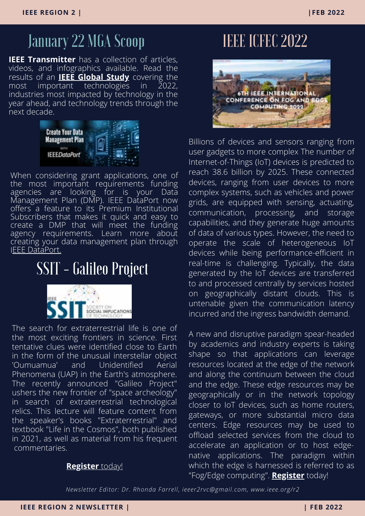## January 22 MGA Scoop

**IEEE Transmitter** has a collection of articles, [videos, and infographics available. Read the](https://futurecity.org/participants/students) results of an **[IEEE Global Study](https://transmitter.ieee.org/impact-of-technology-2022/)** covering the [most important technologies in 2022,](https://futurecity.org/participants/students) industries most impacted by technology in the year ahead, and technology trends through the next decade.



When considering grant applications, one of the most important requirements funding agencies are looking for is your Data Management Plan (DMP). IEEE DataPort now offers a feature to its Premium Institutional [Subscribers that makes it quick and easy to](https://futurecity.org/participants/students) create a DMP that will meet the funding agency requirements. Learn more about creating your data management plan through [IEEE DataPort.](https://ieee-dataport.org/news/create-your-data-management-plan-ieee-dataport)

## SSIT - Galileo Project



The search for extraterrestrial life is one of the most exciting frontiers in science. First tentative clues were identified close to Earth in the form of the unusual interstellar object 'Oumuamua' and Unidentified Aerial Phenomena (UAP) in the Earth's atmosphere. The recently announced "Galileo Project" ushers the new frontier of "space archeology" in search of extraterrestrial technological relics. This lecture will feature content from the speaker's books "Extraterrestrial" and textbook "Life in the Cosmos", both published [in 2021, as well as material from his frequent](https://futurecity.org/participants/students) [commentaries.](https://futurecity.org/participants/students)

#### **[Register](https://events.vtools.ieee.org/m/300346)** today!

## [IEEE ICFEC 2022](https://icfec2022.eecis.udel.edu/index.html)



Billions of devices and sensors ranging from user gadgets to more complex The number of Internet-of-Things (IoT) devices is predicted to reach 38.6 billion by 2025. These connected devices, ranging from user devices to more complex systems, such as vehicles and power grids, are equipped with sensing, actuating, communication, processing, and storage capabilities, and they generate huge amounts of data of various types. However, the need to operate the scale of heterogeneous IoT devices while being performance-efficient in real-time is challenging. Typically, the data generated by the IoT devices are transferred to and processed centrally by services hosted on geographically distant clouds. This is untenable given the communication latency incurred and the ingress bandwidth demand.

A new and disruptive paradigm spear-headed by academics and industry experts is taking shape so that applications can leverage resources located at the edge of the network and along the continuum between the cloud and the edge. These edge resources may be geographically or in the network topology closer to IoT devices, such as home routers, gateways, or more substantial micro data centers. Edge resources may be used to offload selected services from the cloud to accelerate an application or to host edgenative applications. The paradigm within which the edge is harnessed is referred to as "Fog/Edge computing". **[Register](https://icfec2022.eecis.udel.edu/)** today!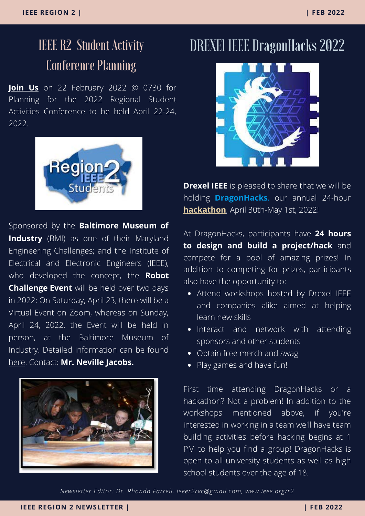# Conference Planning

**[Join Us](https://events.vtools.ieee.org/m/298009)** on 22 February 2022 @ 0730 for Planning for the 2022 Regional Student Activities Conference to be held April 22-24, 2022.



[Sponsored by the](https://engagestandards.ieee.org/cyber-secured-autonomous-vehicles-webinar-register.html?utm_source=ieeeorg&utm_medium=the-institute&utm_campaign=autonomous-vehicle) **Baltimore Museum of Industry** [\(BMI\) as one of their Maryland](https://engagestandards.ieee.org/cyber-secured-autonomous-vehicles-webinar-register.html?utm_source=ieeeorg&utm_medium=the-institute&utm_campaign=autonomous-vehicle) [Engineering Challenges; and the Institute of](https://engagestandards.ieee.org/cyber-secured-autonomous-vehicles-webinar-register.html?utm_source=ieeeorg&utm_medium=the-institute&utm_campaign=autonomous-vehicle) Electrical and Electronic Engineers (IEEE), [who developed the concept, the](https://engagestandards.ieee.org/cyber-secured-autonomous-vehicles-webinar-register.html?utm_source=ieeeorg&utm_medium=the-institute&utm_campaign=autonomous-vehicle) **Robot Challenge Event** will be held over two days [in 2022: On Saturday, April 23, there will be a](https://engagestandards.ieee.org/cyber-secured-autonomous-vehicles-webinar-register.html?utm_source=ieeeorg&utm_medium=the-institute&utm_campaign=autonomous-vehicle) Virtual Event on Zoom, whereas on Sunday, April 24, 2022, the Event will be held in person, at the Baltimore Museum of Industry. Detailed information can be found [here](https://www.thebmi.org/wp-content/uploads/2021/07/2022-Robot-Guide-High-School.pdf). Contact: **Mr. Neville Jacobs.**



## IEEE R2 Student Activity DREXEl IEEE DragonHacks 2022



**[Drexel IEEE](https://events.vtools.ieee.org/m/298009)** [is pleased to share that we will be](https://events.vtools.ieee.org/m/298009) holding **[DragonHacks](https://events.vtools.ieee.org/m/298009)**[, our annual 24-hour](https://events.vtools.ieee.org/m/298009) **[hackathon](https://events.vtools.ieee.org/m/299423)**[, April 30th-May 1st, 2022!](https://events.vtools.ieee.org/m/298009)

[At DragonHacks, participants have](https://events.vtools.ieee.org/m/298009) **24 hours [to design and build a project/hack](https://events.vtools.ieee.org/m/298009)** and compete for a pool of amazing prizes! In [addition to competing for prizes, participants](https://events.vtools.ieee.org/m/298009) also have the opportunity to:

- Attend workshops hosted by Drexel IEEE [and companies alike aimed at helping](https://events.vtools.ieee.org/m/298009) learn new skills
- [Interact and network with attending](https://events.vtools.ieee.org/m/298009) sponsors and other students
- [Obtain free merch and swag](https://events.vtools.ieee.org/m/298009)
- [Play games and have fun!](https://events.vtools.ieee.org/m/298009)

First time attending DragonHacks or a hackathon? Not a problem! In addition to the workshops mentioned above, if you're interested in working in a team we'll have team [building activities before hacking begins at 1](https://events.vtools.ieee.org/m/298009) PM to help you find a group! DragonHacks is open to all university students as well as high school students over the age of 18.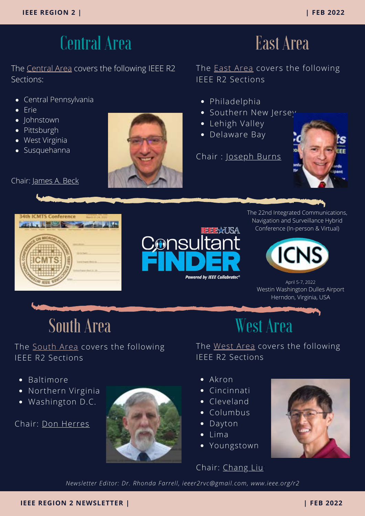## Central Area

The [Central Area](https://r2.ieee.org/sections/) covers the following IEEE R2 Sections:

- Central Pennsylvania
- Erie
- Johnstown
- Pittsburgh
- West Virginia
- Susquehanna

Chair: [James A. Beck](https://r2.ieee.org/about/officers-and-committee/)

The **East Area** covers the following IEEE R2 Sections

East Area

- Philadelphia
- Southern New Jersey
- Lehigh Valley
- Delaware Bay

Chair : [Joseph Burns](https://r2.ieee.org/about/officers-and-committee/)







The 22nd Integrated Communications, Navigation and Surveillance Hybrid Conference (In-person & Virtual)



April 5-7, 2022 Westin Washington Dulles Airport Herndon, Virginia, USA

South Area West Area

#### The **[South Area](https://r2.ieee.org/sections/) covers** the following IEEE R2 Sections

• Baltimore

- Northern Virginia  $\bullet$
- Washington D.C.

Chair: [Don Herres](https://r2.ieee.org/about/officers-and-committee/)



The [West Area](https://r2.ieee.org/sections/) covers the following IEEE R2 Sections

- Akron
- Cincinnati
- Cleveland
- Columbus
- Dayton
- Lima
- Youngstown

#### Chair: [Chang Liu:](https://r2.ieee.org/about/officers-and-committee/)